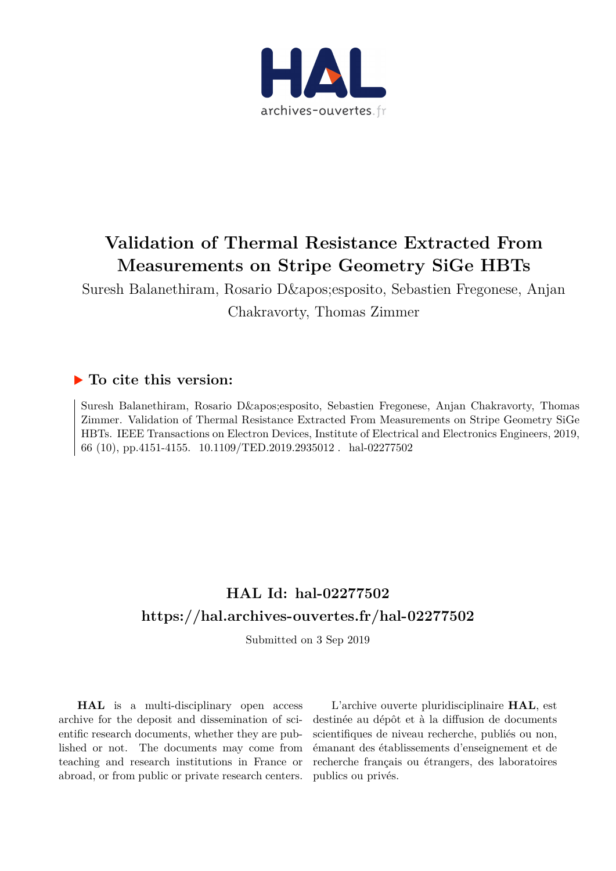

## **Validation of Thermal Resistance Extracted From Measurements on Stripe Geometry SiGe HBTs**

Suresh Balanethiram, Rosario D' esposito, Sebastien Fregonese, Anjan Chakravorty, Thomas Zimmer

### **To cite this version:**

Suresh Balanethiram, Rosario D' esposito, Sebastien Fregonese, Anjan Chakravorty, Thomas Zimmer. Validation of Thermal Resistance Extracted From Measurements on Stripe Geometry SiGe HBTs. IEEE Transactions on Electron Devices, Institute of Electrical and Electronics Engineers, 2019, 66 (10), pp.4151-4155. 10.1109/TED.2019.2935012. hal-02277502

## **HAL Id: hal-02277502 <https://hal.archives-ouvertes.fr/hal-02277502>**

Submitted on 3 Sep 2019

**HAL** is a multi-disciplinary open access archive for the deposit and dissemination of scientific research documents, whether they are published or not. The documents may come from teaching and research institutions in France or abroad, or from public or private research centers.

L'archive ouverte pluridisciplinaire **HAL**, est destinée au dépôt et à la diffusion de documents scientifiques de niveau recherche, publiés ou non, émanant des établissements d'enseignement et de recherche français ou étrangers, des laboratoires publics ou privés.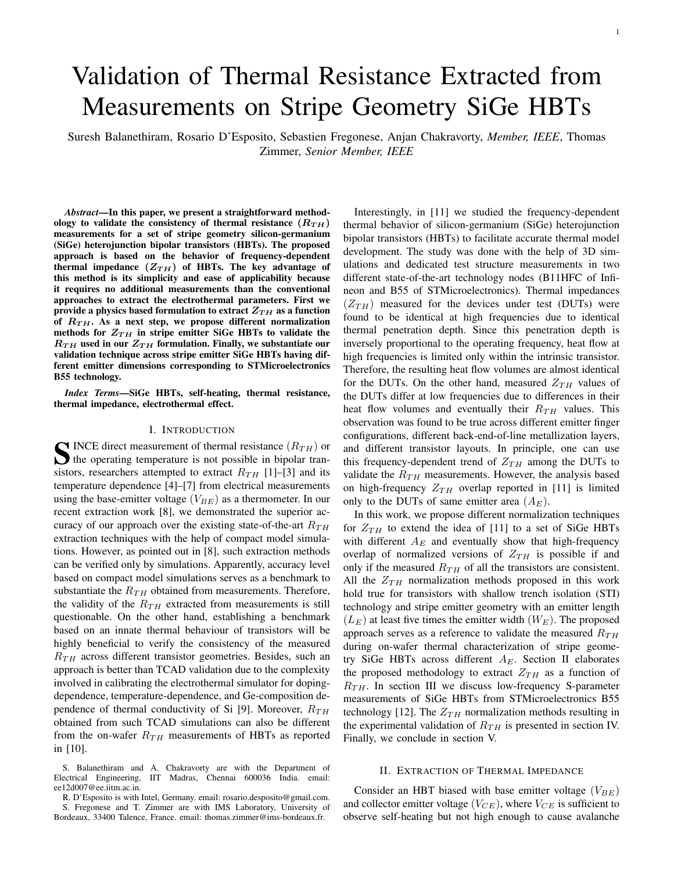1

# Validation of Thermal Resistance Extracted from Measurements on Stripe Geometry SiGe HBTs

Suresh Balanethiram, Rosario D'Esposito, Sebastien Fregonese, Anjan Chakravorty, *Member, IEEE*, Thomas Zimmer, *Senior Member, IEEE*

*Abstract*—In this paper, we present a straightforward methodology to validate the consistency of thermal resistance  $(R_{TH})$ measurements for a set of stripe geometry silicon-germanium (SiGe) heterojunction bipolar transistors (HBTs). The proposed approach is based on the behavior of frequency-dependent thermal impedance  $(Z_{TH})$  of HBTs. The key advantage of this method is its simplicity and ease of applicability because it requires no additional measurements than the conventional approaches to extract the electrothermal parameters. First we provide a physics based formulation to extract  $Z_{TH}$  as a function of  $R_{TH}$ . As a next step, we propose different normalization methods for  $Z_{TH}$  in stripe emitter SiGe HBTs to validate the  $R_{TH}$  used in our  $Z_{TH}$  formulation. Finally, we substantiate our validation technique across stripe emitter SiGe HBTs having different emitter dimensions corresponding to STMicroelectronics B55 technology.

*Index Terms*—SiGe HBTs, self-heating, thermal resistance, thermal impedance, electrothermal effect.

#### I. INTRODUCTION

S INCE direct measurement of thermal resistance  $(R_{TH})$  or<br>the operating temperature is not possible in bipolar transitions, appearance thermal to a prime of  $R_{TH}$ . the operating temperature is not possible in bipolar transistors, researchers attempted to extract  $R_{TH}$  [1]–[3] and its temperature dependence [4]–[7] from electrical measurements using the base-emitter voltage  $(V_{BE})$  as a thermometer. In our recent extraction work [8], we demonstrated the superior accuracy of our approach over the existing state-of-the-art  $R_{TH}$ extraction techniques with the help of compact model simulations. However, as pointed out in [8], such extraction methods can be verified only by simulations. Apparently, accuracy level based on compact model simulations serves as a benchmark to substantiate the  $R_{TH}$  obtained from measurements. Therefore, the validity of the  $R_{TH}$  extracted from measurements is still questionable. On the other hand, establishing a benchmark based on an innate thermal behaviour of transistors will be highly beneficial to verify the consistency of the measured  $R_{TH}$  across different transistor geometries. Besides, such an approach is better than TCAD validation due to the complexity involved in calibrating the electrothermal simulator for dopingdependence, temperature-dependence, and Ge-composition dependence of thermal conductivity of Si [9]. Moreover,  $R_{TH}$ obtained from such TCAD simulations can also be different from the on-wafer  $R_{TH}$  measurements of HBTs as reported in [10].

S. Balanethiram and A. Chakravorty are with the Department of Electrical Engineering, IIT Madras, Chennai 600036 India. email: ee12d007@ee.iitm.ac.in.

R. D'Esposito is with Intel, Germany. email: rosario.desposito@gmail.com.

S. Fregonese and T. Zimmer are with IMS Laboratory, University of Bordeaux, 33400 Talence, France. email: thomas.zimmer@ims-bordeaux.fr.

Interestingly, in [11] we studied the frequency-dependent thermal behavior of silicon-germanium (SiGe) heterojunction bipolar transistors (HBTs) to facilitate accurate thermal model development. The study was done with the help of 3D simulations and dedicated test structure measurements in two different state-of-the-art technology nodes (B11HFC of Infineon and B55 of STMicroelectronics). Thermal impedances  $(Z_{TH})$  measured for the devices under test (DUTs) were found to be identical at high frequencies due to identical thermal penetration depth. Since this penetration depth is inversely proportional to the operating frequency, heat flow at high frequencies is limited only within the intrinsic transistor. Therefore, the resulting heat flow volumes are almost identical for the DUTs. On the other hand, measured  $Z_{TH}$  values of the DUTs differ at low frequencies due to differences in their heat flow volumes and eventually their  $R_{TH}$  values. This observation was found to be true across different emitter finger configurations, different back-end-of-line metallization layers, and different transistor layouts. In principle, one can use this frequency-dependent trend of  $Z_{TH}$  among the DUTs to validate the  $R_{TH}$  measurements. However, the analysis based on high-frequency  $Z_{TH}$  overlap reported in [11] is limited only to the DUTs of same emitter area  $(A_E)$ .

In this work, we propose different normalization techniques for  $Z_{TH}$  to extend the idea of [11] to a set of SiGe HBTs with different  $A_E$  and eventually show that high-frequency overlap of normalized versions of  $Z_{TH}$  is possible if and only if the measured  $R_{TH}$  of all the transistors are consistent. All the  $Z_{TH}$  normalization methods proposed in this work hold true for transistors with shallow trench isolation (STI) technology and stripe emitter geometry with an emitter length  $(L_E)$  at least five times the emitter width  $(W_E)$ . The proposed approach serves as a reference to validate the measured  $R_{TH}$ during on-wafer thermal characterization of stripe geometry SiGe HBTs across different  $A_E$ . Section II elaborates the proposed methodology to extract  $Z_{TH}$  as a function of  $R_{TH}$ . In section III we discuss low-frequency S-parameter measurements of SiGe HBTs from STMicroelectronics B55 technology [12]. The  $Z_{TH}$  normalization methods resulting in the experimental validation of  $R_{TH}$  is presented in section IV. Finally, we conclude in section V.

#### II. EXTRACTION OF THERMAL IMPEDANCE

Consider an HBT biased with base emitter voltage  $(V_{BE})$ and collector emitter voltage  $(V_{CE})$ , where  $V_{CE}$  is sufficient to observe self-heating but not high enough to cause avalanche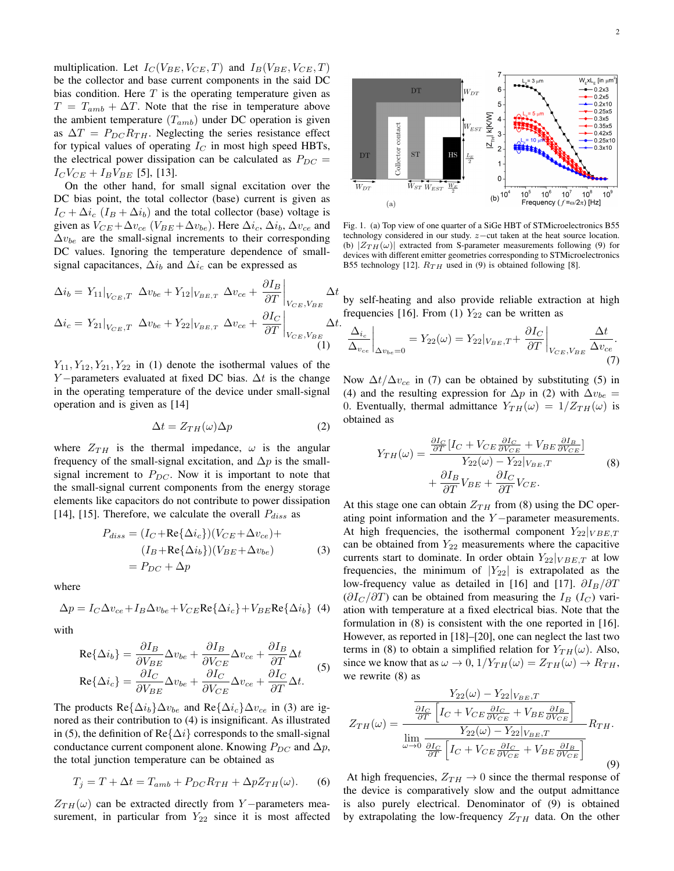multiplication. Let  $I_C(V_{BE}, V_{CE}, T)$  and  $I_B(V_{BE}, V_{CE}, T)$ be the collector and base current components in the said DC bias condition. Here  $T$  is the operating temperature given as  $T = T_{amb} + \Delta T$ . Note that the rise in temperature above the ambient temperature  $(T_{amb})$  under DC operation is given as  $\Delta T = P_{DC} R_{TH}$ . Neglecting the series resistance effect for typical values of operating  $I_C$  in most high speed HBTs, the electrical power dissipation can be calculated as  $P_{DC}$  =  $I_C V_{CE} + I_B V_{BE}$  [5], [13].

On the other hand, for small signal excitation over the DC bias point, the total collector (base) current is given as  $I_C + \Delta i_c$  ( $I_B + \Delta i_b$ ) and the total collector (base) voltage is given as  $V_{CE} + \Delta v_{ce}$  ( $V_{BE} + \Delta v_{be}$ ). Here  $\Delta i_c$ ,  $\Delta i_b$ ,  $\Delta v_{ce}$  and  $\Delta v_{be}$  are the small-signal increments to their corresponding DC values. Ignoring the temperature dependence of smallsignal capacitances,  $\Delta i_b$  and  $\Delta i_c$  can be expressed as

$$
\Delta i_b = Y_{11}|_{V_{CE},T} \Delta v_{be} + Y_{12}|_{V_{BE,T}} \Delta v_{ce} + \frac{\partial I_B}{\partial T}\Big|_{V_{CE},V_{BE}} \Delta t
$$
  

$$
\Delta i_c = Y_{21}|_{V_{CE},T} \Delta v_{be} + Y_{22}|_{V_{BE,T}} \Delta v_{ce} + \frac{\partial I_C}{\partial T}\Big|_{V_{CE},V_{BE}} \Delta t.
$$
  
(1)

 $Y_{11}, Y_{12}, Y_{21}, Y_{22}$  in (1) denote the isothermal values of the Y – parameters evaluated at fixed DC bias.  $\Delta t$  is the change in the operating temperature of the device under small-signal operation and is given as [14]

$$
\Delta t = Z_{TH}(\omega)\Delta p \tag{2}
$$

where  $Z_{TH}$  is the thermal impedance,  $\omega$  is the angular frequency of the small-signal excitation, and  $\Delta p$  is the smallsignal increment to  $P_{DC}$ . Now it is important to note that the small-signal current components from the energy storage elements like capacitors do not contribute to power dissipation [14], [15]. Therefore, we calculate the overall  $P_{diss}$  as

$$
P_{diss} = (I_C + \text{Re}\{\Delta i_c\}) (V_{CE} + \Delta v_{ce}) +
$$
  

$$
(I_B + \text{Re}\{\Delta i_b\}) (V_{BE} + \Delta v_{be})
$$
  

$$
= P_{DC} + \Delta p
$$
 (3)

where

$$
\Delta p = I_C \Delta v_{ce} + I_B \Delta v_{be} + V_{CE} \text{Re} \{ \Delta i_c \} + V_{BE} \text{Re} \{ \Delta i_b \} \tag{4}
$$

with

$$
\text{Re}\{\Delta i_b\} = \frac{\partial I_B}{\partial V_{BE}} \Delta v_{be} + \frac{\partial I_B}{\partial V_{CE}} \Delta v_{ce} + \frac{\partial I_B}{\partial T} \Delta t
$$
  

$$
\text{Re}\{\Delta i_c\} = \frac{\partial I_C}{\partial V_{BE}} \Delta v_{be} + \frac{\partial I_C}{\partial V_{CE}} \Delta v_{ce} + \frac{\partial I_C}{\partial T} \Delta t.
$$
 (5)

The products Re $\{\Delta i_b\}\Delta v_{be}$  and Re $\{\Delta i_c\}\Delta v_{ce}$  in (3) are ignored as their contribution to (4) is insignificant. As illustrated in (5), the definition of Re $\{\Delta i\}$  corresponds to the small-signal conductance current component alone. Knowing  $P_{DC}$  and  $\Delta p$ , the total junction temperature can be obtained as

$$
T_j = T + \Delta t = T_{amb} + P_{DC} R_{TH} + \Delta p Z_{TH}(\omega).
$$
 (6)

 $Z_{TH}(\omega)$  can be extracted directly from Y − parameters measurement, in particular from  $Y_{22}$  since it is most affected



Fig. 1. (a) Top view of one quarter of a SiGe HBT of STMicroelectronics B55 technology considered in our study. z−cut taken at the heat source location. (b)  $|Z_{TH}(\omega)|$  extracted from S-parameter measurements following (9) for devices with different emitter geometries corresponding to STMicroelectronics B55 technology [12].  $R_{TH}$  used in (9) is obtained following [8].

by self-heating and also provide reliable extraction at high frequencies [16]. From (1)  $Y_{22}$  can be written as

$$
\left. \frac{\Delta_{i_c}}{\Delta_{v_{ce}}} \right|_{\Delta v_{be}=0} = Y_{22}(\omega) = Y_{22}|_{V_{BE},T} + \left. \frac{\partial I_C}{\partial T} \right|_{V_{CE},V_{BE}} \frac{\Delta t}{\Delta v_{ce}}.
$$
\n(7)

Now  $\Delta t/\Delta v_{ce}$  in (7) can be obtained by substituting (5) in (4) and the resulting expression for  $\Delta p$  in (2) with  $\Delta v_{be}$  = 0. Eventually, thermal admittance  $Y_{TH}(\omega) = 1/Z_{TH}(\omega)$  is obtained as

$$
Y_{TH}(\omega) = \frac{\frac{\partial I_C}{\partial T} [I_C + V_{CE} \frac{\partial I_C}{\partial V_{CE}} + V_{BE} \frac{\partial I_B}{\partial V_{CE}}]}{Y_{22}(\omega) - Y_{22}|_{V_{BE},T}}
$$
  
+ 
$$
\frac{\partial I_B}{\partial T} V_{BE} + \frac{\partial I_C}{\partial T} V_{CE}.
$$
 (8)

At this stage one can obtain  $Z_{TH}$  from (8) using the DC operating point information and the  $Y$  −parameter measurements. At high frequencies, the isothermal component  $Y_{22}|_{VBE,T}$ can be obtained from  $Y_{22}$  measurements where the capacitive currents start to dominate. In order obtain  $Y_{22}|_{VBE,T}$  at low frequencies, the minimum of  $|Y_{22}|$  is extrapolated as the low-frequency value as detailed in [16] and [17].  $\partial I_B/\partial T$  $(\partial I_C / \partial T)$  can be obtained from measuring the  $I_B$  ( $I_C$ ) variation with temperature at a fixed electrical bias. Note that the formulation in (8) is consistent with the one reported in [16]. However, as reported in [18]–[20], one can neglect the last two terms in (8) to obtain a simplified relation for  $Y_{TH}(\omega)$ . Also, since we know that as  $\omega \to 0$ ,  $1/Y_{TH}(\omega) = Z_{TH}(\omega) \to R_{TH}$ , we rewrite (8) as

$$
Z_{TH}(\omega) = \frac{\frac{Y_{22}(\omega) - Y_{22}|_{V_{BE},T}}{\frac{\partial I_C}{\partial T} \left[I_C + V_{CE}\frac{\partial I_C}{\partial V_{CE}} + V_{BE}\frac{\partial I_B}{\partial V_{CE}}\right]}}{\lim_{\omega \to 0} \frac{Y_{22}(\omega) - Y_{22}|_{V_{BE},T}}{\frac{\partial I_C}{\partial T} \left[I_C + V_{CE}\frac{\partial I_C}{\partial V_{CE}} + V_{BE}\frac{\partial I_B}{\partial V_{CE}}\right]}} R_{TH}.
$$
\n(9)

At high frequencies,  $Z_{TH} \rightarrow 0$  since the thermal response of the device is comparatively slow and the output admittance is also purely electrical. Denominator of (9) is obtained by extrapolating the low-frequency  $Z_{TH}$  data. On the other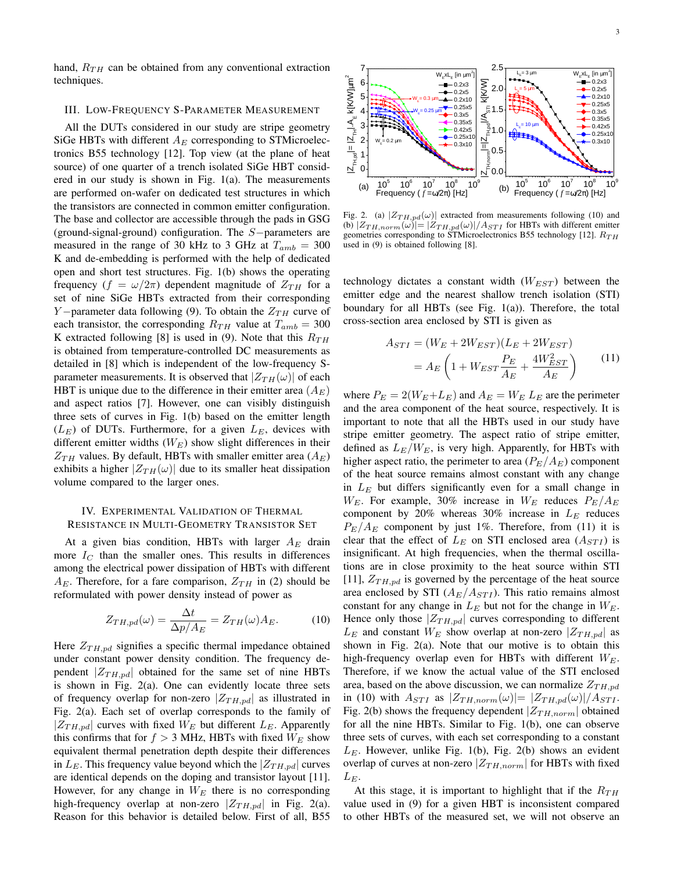hand,  $R_{TH}$  can be obtained from any conventional extraction techniques.

#### III. LOW-FREQUENCY S-PARAMETER MEASUREMENT

All the DUTs considered in our study are stripe geometry SiGe HBTs with different  $A_E$  corresponding to STMicroelectronics B55 technology [12]. Top view (at the plane of heat source) of one quarter of a trench isolated SiGe HBT considered in our study is shown in Fig. 1(a). The measurements are performed on-wafer on dedicated test structures in which the transistors are connected in common emitter configuration. The base and collector are accessible through the pads in GSG (ground-signal-ground) configuration. The S−parameters are measured in the range of 30 kHz to 3 GHz at  $T_{amb} = 300$ K and de-embedding is performed with the help of dedicated open and short test structures. Fig. 1(b) shows the operating frequency  $(f = \omega/2\pi)$  dependent magnitude of  $Z_{TH}$  for a set of nine SiGe HBTs extracted from their corresponding Y-parameter data following (9). To obtain the  $Z_{TH}$  curve of each transistor, the corresponding  $R_{TH}$  value at  $T_{amb} = 300$ K extracted following [8] is used in (9). Note that this  $R_{TH}$ is obtained from temperature-controlled DC measurements as detailed in [8] which is independent of the low-frequency Sparameter measurements. It is observed that  $|Z_{TH}(\omega)|$  of each HBT is unique due to the difference in their emitter area  $(A_E)$ and aspect ratios [7]. However, one can visibly distinguish three sets of curves in Fig. 1(b) based on the emitter length  $(L_E)$  of DUTs. Furthermore, for a given  $L_E$ , devices with different emitter widths  $(W_E)$  show slight differences in their  $Z_{TH}$  values. By default, HBTs with smaller emitter area  $(A_E)$ exhibits a higher  $|Z_{TH}(\omega)|$  due to its smaller heat dissipation volume compared to the larger ones.

#### IV. EXPERIMENTAL VALIDATION OF THERMAL RESISTANCE IN MULTI-GEOMETRY TRANSISTOR SET

At a given bias condition, HBTs with larger  $A_E$  drain more  $I_C$  than the smaller ones. This results in differences among the electrical power dissipation of HBTs with different  $A_E$ . Therefore, for a fare comparison,  $Z_{TH}$  in (2) should be reformulated with power density instead of power as

$$
Z_{TH,pd}(\omega) = \frac{\Delta t}{\Delta p/A_E} = Z_{TH}(\omega)A_E.
$$
 (10)

Here  $Z_{TH,pd}$  signifies a specific thermal impedance obtained under constant power density condition. The frequency dependent  $|Z_{TH,pd}|$  obtained for the same set of nine HBTs is shown in Fig. 2(a). One can evidently locate three sets of frequency overlap for non-zero  $|Z_{TH,pd}|$  as illustrated in Fig. 2(a). Each set of overlap corresponds to the family of  $|Z_{TH,pd}|$  curves with fixed  $W_E$  but different  $L_E$ . Apparently this confirms that for  $f > 3$  MHz, HBTs with fixed  $W_E$  show equivalent thermal penetration depth despite their differences in  $L_E$ . This frequency value beyond which the  $|Z_{TH,pd}|$  curves are identical depends on the doping and transistor layout [11]. However, for any change in  $W_E$  there is no corresponding high-frequency overlap at non-zero  $|Z_{TH,pd}|$  in Fig. 2(a). Reason for this behavior is detailed below. First of all, B55



Fig. 2. (a)  $|Z_{TH,pd}(\omega)|$  extracted from measurements following (10) and (b)  $|Z_{TH,norm}(\omega)| = |Z_{TH,pd}(\omega)|/A_{STI}$  for HBTs with different emitter geometries corresponding to STMicroelectronics B55 technology [12].  $R_{TH}$ used in (9) is obtained following [8].

technology dictates a constant width  $(W_{EST})$  between the emitter edge and the nearest shallow trench isolation (STI) boundary for all HBTs (see Fig. 1(a)). Therefore, the total cross-section area enclosed by STI is given as

$$
A_{STI} = (W_E + 2W_{EST})(L_E + 2W_{EST})
$$
  
=  $A_E \left( 1 + W_{EST} \frac{P_E}{A_E} + \frac{4W_{EST}^2}{A_E} \right)$  (11)

where  $P_E = 2(W_E + L_E)$  and  $A_E = W_E L_E$  are the perimeter and the area component of the heat source, respectively. It is important to note that all the HBTs used in our study have stripe emitter geometry. The aspect ratio of stripe emitter, defined as  $L_E/W_E$ , is very high. Apparently, for HBTs with higher aspect ratio, the perimeter to area  $(P_E/A_E)$  component of the heat source remains almost constant with any change in  $L<sub>E</sub>$  but differs significantly even for a small change in  $W_E$ . For example, 30% increase in  $W_E$  reduces  $P_E/A_E$ component by 20% whereas 30% increase in  $L_E$  reduces  $P_{E}/A_{E}$  component by just 1%. Therefore, from (11) it is clear that the effect of  $L_E$  on STI enclosed area  $(A_{STI})$  is insignificant. At high frequencies, when the thermal oscillations are in close proximity to the heat source within STI [11],  $Z_{TH,pd}$  is governed by the percentage of the heat source area enclosed by STI  $(A_E/A_{STI})$ . This ratio remains almost constant for any change in  $L_E$  but not for the change in  $W_E$ . Hence only those  $|Z_{TH,pd}|$  curves corresponding to different  $L_E$  and constant  $W_E$  show overlap at non-zero  $|Z_{TH,pd}|$  as shown in Fig.  $2(a)$ . Note that our motive is to obtain this high-frequency overlap even for HBTs with different  $W_F$ . Therefore, if we know the actual value of the STI enclosed area, based on the above discussion, we can normalize  $Z_{TH,nd}$ in (10) with  $A_{STI}$  as  $|Z_{TH,norm}(\omega)|=|Z_{TH,pd}(\omega)|/A_{STI}$ . Fig. 2(b) shows the frequency dependent  $|Z_{TH,norm}|$  obtained for all the nine HBTs. Similar to Fig. 1(b), one can observe three sets of curves, with each set corresponding to a constant  $L<sub>E</sub>$ . However, unlike Fig. 1(b), Fig. 2(b) shows an evident overlap of curves at non-zero  $|Z_{TH,norm}|$  for HBTs with fixed  $L_E$ .

At this stage, it is important to highlight that if the  $R_{TH}$ value used in (9) for a given HBT is inconsistent compared to other HBTs of the measured set, we will not observe an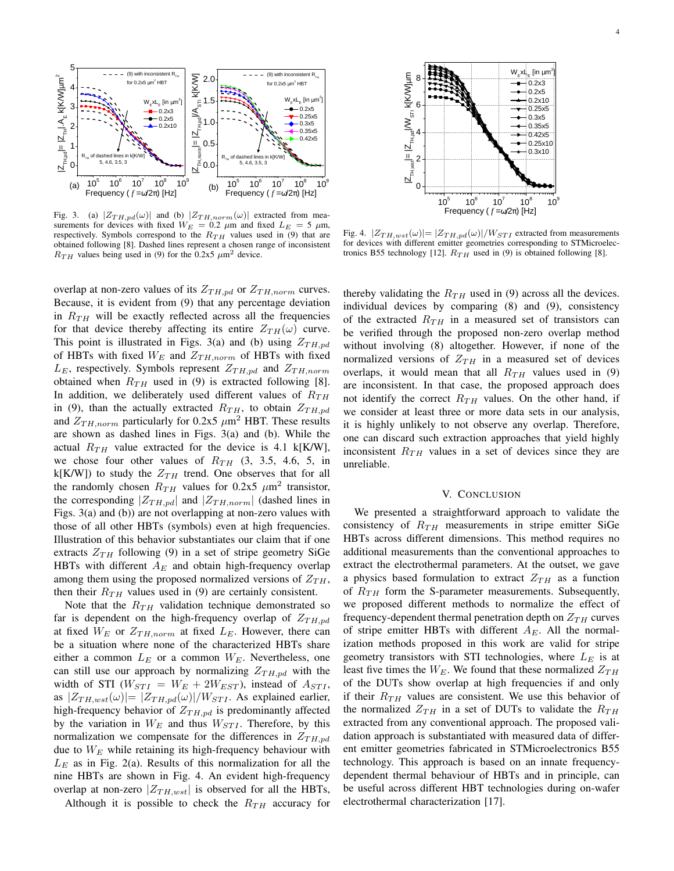

Fig. 3. (a)  $|Z_{TH,pd}(\omega)|$  and (b)  $|Z_{TH,norm}(\omega)|$  extracted from measurements for devices with fixed  $W_E = 0.2 \mu m$  and fixed  $L_E = 5 \mu m$ , respectively. Symbols correspond to the  $R_{TH}$  values used in (9) that are obtained following [8]. Dashed lines represent a chosen range of inconsistent  $R_{TH}$  values being used in (9) for the 0.2x5  $\mu$ m<sup>2</sup> device.

overlap at non-zero values of its  $Z_{TH,pd}$  or  $Z_{TH,norm}$  curves. Because, it is evident from (9) that any percentage deviation in  $R_{TH}$  will be exactly reflected across all the frequencies for that device thereby affecting its entire  $Z_{TH}(\omega)$  curve. This point is illustrated in Figs. 3(a) and (b) using  $Z_{TH,pd}$ of HBTs with fixed  $W_E$  and  $Z_{TH,norm}$  of HBTs with fixed  $L_E$ , respectively. Symbols represent  $Z_{TH,pd}$  and  $Z_{TH,norm}$ obtained when  $R_{TH}$  used in (9) is extracted following [8]. In addition, we deliberately used different values of  $R_{TH}$ in (9), than the actually extracted  $R_{TH}$ , to obtain  $Z_{TH,pd}$ and  $Z_{TH,norm}$  particularly for 0.2x5  $\mu$ m<sup>2</sup> HBT. These results are shown as dashed lines in Figs. 3(a) and (b). While the actual  $R_{TH}$  value extracted for the device is 4.1 k[K/W], we chose four other values of  $R_{TH}$  (3, 3.5, 4.6, 5, in k[K/W]) to study the  $Z_{TH}$  trend. One observes that for all the randomly chosen  $R_{TH}$  values for 0.2x5  $\mu$ m<sup>2</sup> transistor, the corresponding  $|Z_{TH,pd}|$  and  $|Z_{TH,norm}|$  (dashed lines in Figs. 3(a) and (b)) are not overlapping at non-zero values with those of all other HBTs (symbols) even at high frequencies. Illustration of this behavior substantiates our claim that if one extracts  $Z_{TH}$  following (9) in a set of stripe geometry SiGe HBTs with different  $A_E$  and obtain high-frequency overlap among them using the proposed normalized versions of  $Z_{TH}$ , then their  $R_{TH}$  values used in (9) are certainly consistent.

Note that the  $R_{TH}$  validation technique demonstrated so far is dependent on the high-frequency overlap of  $Z_{TH,pd}$ at fixed  $W_E$  or  $Z_{TH,norm}$  at fixed  $L_E$ . However, there can be a situation where none of the characterized HBTs share either a common  $L_E$  or a common  $W_E$ . Nevertheless, one can still use our approach by normalizing  $Z_{TH,pd}$  with the width of STI ( $W_{STI} = W_E + 2W_{EST}$ ), instead of  $A_{STI}$ , as  $|Z_{TH, wst}(\omega)| = |Z_{TH, pd}(\omega)|/W_{STI}$ . As explained earlier, high-frequency behavior of  $Z_{TH,pd}$  is predominantly affected by the variation in  $W_E$  and thus  $W_{STI}$ . Therefore, by this normalization we compensate for the differences in  $Z_{TH,pd}$ due to  $W_E$  while retaining its high-frequency behaviour with  $L<sub>E</sub>$  as in Fig. 2(a). Results of this normalization for all the nine HBTs are shown in Fig. 4. An evident high-frequency overlap at non-zero  $|Z_{TH, wst}|$  is observed for all the HBTs,

Although it is possible to check the  $R_{TH}$  accuracy for



Fig. 4.  $|Z_{TH, wst}(\omega)| = |Z_{TH,pd}(\omega)|/W_{STI}$  extracted from measurements for devices with different emitter geometries corresponding to STMicroelectronics B55 technology [12].  $R_{TH}$  used in (9) is obtained following [8].

thereby validating the  $R_{TH}$  used in (9) across all the devices. individual devices by comparing (8) and (9), consistency of the extracted  $R_{TH}$  in a measured set of transistors can be verified through the proposed non-zero overlap method without involving (8) altogether. However, if none of the normalized versions of  $Z_{TH}$  in a measured set of devices overlaps, it would mean that all  $R_{TH}$  values used in (9) are inconsistent. In that case, the proposed approach does not identify the correct  $R_{TH}$  values. On the other hand, if we consider at least three or more data sets in our analysis, it is highly unlikely to not observe any overlap. Therefore, one can discard such extraction approaches that yield highly inconsistent  $R_{TH}$  values in a set of devices since they are unreliable.

#### V. CONCLUSION

We presented a straightforward approach to validate the consistency of  $R_{TH}$  measurements in stripe emitter SiGe HBTs across different dimensions. This method requires no additional measurements than the conventional approaches to extract the electrothermal parameters. At the outset, we gave a physics based formulation to extract  $Z_{TH}$  as a function of  $R_{TH}$  form the S-parameter measurements. Subsequently, we proposed different methods to normalize the effect of frequency-dependent thermal penetration depth on  $Z_{TH}$  curves of stripe emitter HBTs with different  $A_E$ . All the normalization methods proposed in this work are valid for stripe geometry transistors with STI technologies, where  $L_E$  is at least five times the  $W_E$ . We found that these normalized  $Z_{TH}$ of the DUTs show overlap at high frequencies if and only if their  $R_{TH}$  values are consistent. We use this behavior of the normalized  $Z_{TH}$  in a set of DUTs to validate the  $R_{TH}$ extracted from any conventional approach. The proposed validation approach is substantiated with measured data of different emitter geometries fabricated in STMicroelectronics B55 technology. This approach is based on an innate frequencydependent thermal behaviour of HBTs and in principle, can be useful across different HBT technologies during on-wafer electrothermal characterization [17].